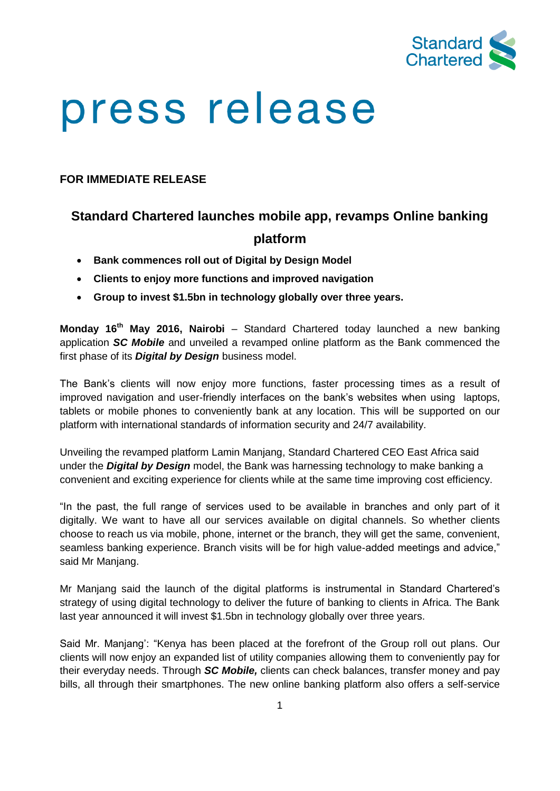

# press release

## **FOR IMMEDIATE RELEASE**

## **Standard Chartered launches mobile app, revamps Online banking platform**

- **Bank commences roll out of Digital by Design Model**
- **Clients to enjoy more functions and improved navigation**
- **Group to invest \$1.5bn in technology globally over three years.**

**Monday 16th May 2016, Nairobi** – Standard Chartered today launched a new banking application *SC Mobile* and unveiled a revamped online platform as the Bank commenced the first phase of its *Digital by Design* business model.

The Bank's clients will now enjoy more functions, faster processing times as a result of improved navigation and user-friendly interfaces on the bank's websites when using laptops, tablets or mobile phones to conveniently bank at any location. This will be supported on our platform with international standards of information security and 24/7 availability.

Unveiling the revamped platform Lamin Manjang, Standard Chartered CEO East Africa said under the *Digital by Design* model, the Bank was harnessing technology to make banking a convenient and exciting experience for clients while at the same time improving cost efficiency.

"In the past, the full range of services used to be available in branches and only part of it digitally. We want to have all our services available on digital channels. So whether clients choose to reach us via mobile, phone, internet or the branch, they will get the same, convenient, seamless banking experience. Branch visits will be for high value-added meetings and advice," said Mr Manjang.

Mr Manjang said the launch of the digital platforms is instrumental in Standard Chartered's strategy of using digital technology to deliver the future of banking to clients in Africa. The Bank last year announced it will invest \$1.5bn in technology globally over three years.

Said Mr. Manjang': "Kenya has been placed at the forefront of the Group roll out plans. Our clients will now enjoy an expanded list of utility companies allowing them to conveniently pay for their everyday needs. Through *SC Mobile,* clients can check balances, transfer money and pay bills, all through their smartphones. The new online banking platform also offers a self-service